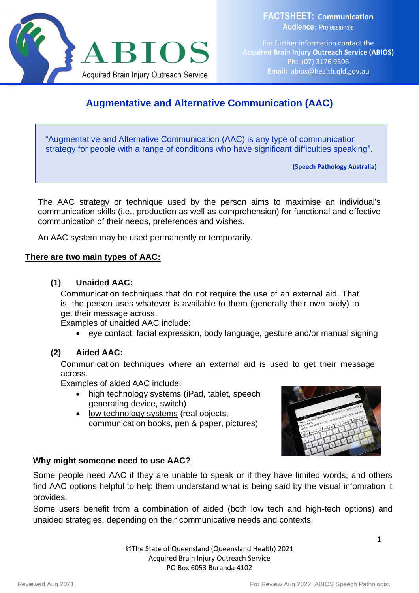

**FACTSHEET: Communication Audience**: Professionals

For further information contact the **Acquired Brain Injury Outreach Service (ABIOS) Ph:** (07) 3176 9506 **Email:** [abios@health.qld.gov.au](mailto:abios@health.qld.gov.au)

# **Augmentative and Alternative Communication (AAC)**

"Augmentative and Alternative Communication (AAC) is any type of communication strategy for people with a range of conditions who have significant difficulties speaking".

**(Speech Pathology Australia)**

The AAC strategy or technique used by the person aims to maximise an individual's communication skills (i.e., production as well as comprehension) for functional and effective communication of their needs, preferences and wishes.

An AAC system may be used permanently or temporarily.

### **There are two main types of AAC:**

### **(1) Unaided AAC:**

Communication techniques that do not require the use of an external aid. That is, the person uses whatever is available to them (generally their own body) to get their message across.

Examples of unaided AAC include:

• eye contact, facial expression, body language, gesture and/or manual signing

### **(2) Aided AAC:**

Communication techniques where an external aid is used to get their message across.

Examples of aided AAC include:

- high technology systems (iPad, tablet, speech generating device, switch)
- low technology systems (real objects, communication books, pen & paper, pictures)



### **Why might someone need to use AAC?**

Some people need AAC if they are unable to speak or if they have limited words, and others find AAC options helpful to help them understand what is being said by the visual information it provides.

Some users benefit from a combination of aided (both low tech and high-tech options) and unaided strategies, depending on their communicative needs and contexts.